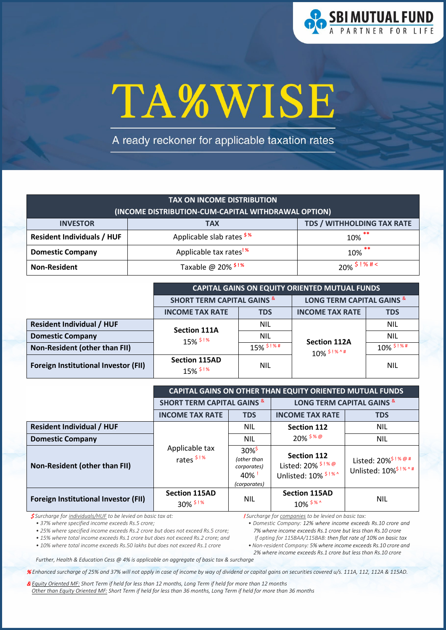

# TA%WISE

A ready reckoner for applicable taxation rates

| <b>TAX ON INCOME DISTRIBUTION</b>                                  |                                     |                   |  |
|--------------------------------------------------------------------|-------------------------------------|-------------------|--|
| (INCOME DISTRIBUTION-CUM-CAPITAL WITHDRAWAL OPTION)                |                                     |                   |  |
| <b>TDS / WITHHOLDING TAX RATE</b><br><b>INVESTOR</b><br><b>TAX</b> |                                     |                   |  |
| Applicable slab rates \$%<br><b>Resident Individuals / HUF</b>     |                                     | $10\%$ **         |  |
| <b>Domestic Company</b>                                            | Applicable tax rates <sup>! %</sup> | $10\%$ **         |  |
| <b>Non-Resident</b>                                                | Taxable @ 20% <sup>\$!%</sup>       | $20\%$ \$ ! % # < |  |

|                                             | <b>CAPITAL GAINS ON EQUITY ORIENTED MUTUAL FUNDS</b> |                         |                                                 |                         |
|---------------------------------------------|------------------------------------------------------|-------------------------|-------------------------------------------------|-------------------------|
|                                             | <b>SHORT TERM CAPITAL GAINS &amp;</b>                |                         | <b>LONG TERM CAPITAL GAINS &amp;</b>            |                         |
|                                             | <b>INCOME TAX RATE</b>                               | <b>TDS</b>              | <b>INCOME TAX RATE</b>                          | <b>TDS</b>              |
| <b>Resident Individual / HUF</b>            | <b>Section 111A</b>                                  | <b>NIL</b>              | <b>Section 112A</b><br>$10\%$ <sup>\$!%^#</sup> | <b>NIL</b>              |
| <b>Domestic Company</b>                     | $15\%$ <sup>\$!%</sup>                               | <b>NIL</b>              |                                                 | <b>NIL</b>              |
| Non-Resident (other than FII)               |                                                      | $15\%$ $\frac{$1\%}{4}$ |                                                 | $10\%$ <sup>\$!%#</sup> |
| <b>Foreign Institutional Investor (FII)</b> | <b>Section 115AD</b><br>15% \$!%                     | NIL                     |                                                 | <b>NIL</b>              |

|                                             | CAPITAL GAINS ON OTHER THAN EQUITY ORIENTED MUTUAL FUNDS |                                                                              |                                                                |                                                                         |
|---------------------------------------------|----------------------------------------------------------|------------------------------------------------------------------------------|----------------------------------------------------------------|-------------------------------------------------------------------------|
|                                             | <b>SHORT TERM CAPITAL GAINS &amp;</b>                    |                                                                              | <b>LONG TERM CAPITAL GAINS &amp;</b>                           |                                                                         |
|                                             | <b>INCOME TAX RATE</b>                                   | <b>TDS</b>                                                                   | <b>INCOME TAX RATE</b>                                         | <b>TDS</b>                                                              |
| <b>Resident Individual / HUF</b>            |                                                          | <b>NIL</b>                                                                   | <b>Section 112</b>                                             | <b>NIL</b>                                                              |
| <b>Domestic Company</b>                     |                                                          | <b>NIL</b>                                                                   | $20\%$ \$ % @                                                  | <b>NIL</b>                                                              |
| Non-Resident (other than FII)               | Applicable tax<br>rates <sup>\$!%</sup>                  | $30\%$ <sup>\$</sup><br>(other than<br>corporates)<br>$40\%$<br>(corporates) | <b>Section 112</b><br>Listed: 20% \$!%@<br>Unlisted: 10% \$!%^ | Listed: $20\%$ <sup>\$ ! % @ #</sup><br>Unlisted: 10% <sup>\$!%^#</sup> |
| <b>Foreign Institutional Investor (FII)</b> | <b>Section 115AD</b><br>$30\%$ \$!%                      | <b>NIL</b>                                                                   | <b>Section 115AD</b><br>$10\%$ \$ % ^                          | <b>NIL</b>                                                              |

\$ *Surcharge for individuals/HUF to be levied on basic tax at:* 

*• 37% where specified income exceeds Rs.5 crore;* 

*• 25% where specified income exceeds Rs.2 crore but does not exceed Rs.5 crore;* 

*• 15% where total income exceeds Rs.1 crore but does not exceed Rs.2 crore; and* 

*• 10% where total income exceeds Rs.50 lakhs but does not exceed Rs.1 crore*

! *Surcharge for companies to be levied on basic tax:* 

*• Domestic Company: 12% where income exceeds Rs.10 crore and 7% where income exceeds Rs.1 crore but less than Rs.10 crore If opting for 115BAA/115BAB: then flat rate of 10% on basic tax*

*• Non-resident Company: 5% where income exceeds Rs.10 crore and 2% where income exceeds Rs.1 crore but less than Rs.10 crore*

*Further, Health & Education Cess @ 4% is applicable on aggregate of basic tax & surcharge*

% *Enhanced surcharge of 25% and 37% will not apply in case of income by way of dividend or capital gains on securities covered u/s. 111A, 112, 112A & 115AD.*

& *Equity Oriented MF: Short Term if held for less than 12 months, Long Term if held for more than 12 months Other than Equity Oriented MF: Short Term if held for less than 36 months, Long Term if held for more than 36 months*